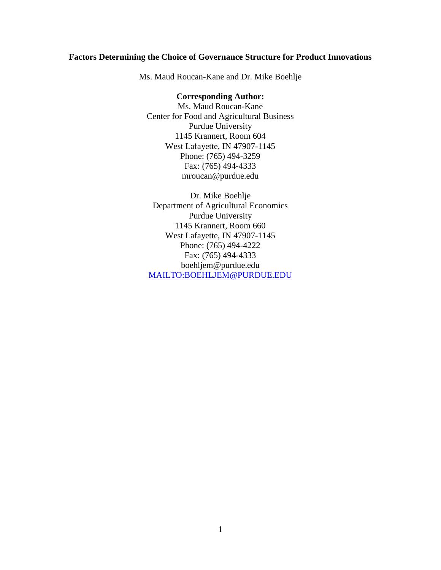# **Factors Determining the Choice of Governance Structure for Product Innovations**

Ms. Maud Roucan-Kane and Dr. Mike Boehlje

## **Corresponding Author:**

Ms. Maud Roucan-Kane Center for Food and Agricultural Business Purdue University 1145 Krannert, Room 604 West Lafayette, IN 47907-1145 Phone: (765) 494-3259 Fax: (765) 494-4333 mroucan@purdue.edu

Dr. Mike Boehlje Department of Agricultural Economics Purdue University 1145 Krannert, Room 660 West Lafayette, IN 47907-1145 Phone: (765) 494-4222 Fax: (765) 494-4333 boehljem@purdue.edu MAILTO:BOEHLJEM@PURDUE.EDU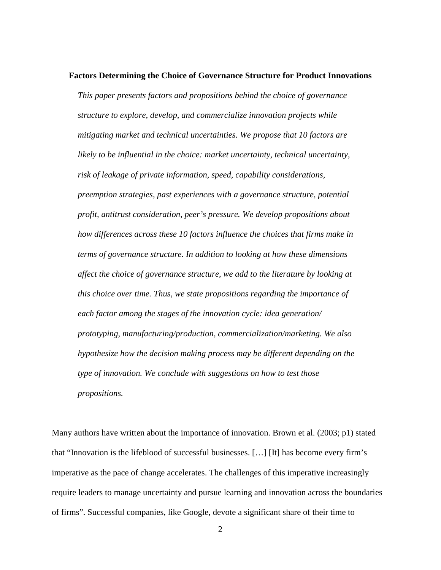#### **Factors Determining the Choice of Governance Structure for Product Innovations**

*This paper presents factors and propositions behind the choice of governance structure to explore, develop, and commercialize innovation projects while mitigating market and technical uncertainties. We propose that 10 factors are likely to be influential in the choice: market uncertainty, technical uncertainty, risk of leakage of private information, speed, capability considerations, preemption strategies, past experiences with a governance structure, potential profit, antitrust consideration, peer's pressure. We develop propositions about how differences across these 10 factors influence the choices that firms make in terms of governance structure. In addition to looking at how these dimensions affect the choice of governance structure, we add to the literature by looking at this choice over time. Thus, we state propositions regarding the importance of each factor among the stages of the innovation cycle: idea generation/ prototyping, manufacturing/production, commercialization/marketing. We also hypothesize how the decision making process may be different depending on the type of innovation. We conclude with suggestions on how to test those propositions.* 

Many authors have written about the importance of innovation. Brown et al. (2003; p1) stated that "Innovation is the lifeblood of successful businesses. […] [It] has become every firm's imperative as the pace of change accelerates. The challenges of this imperative increasingly require leaders to manage uncertainty and pursue learning and innovation across the boundaries of firms". Successful companies, like Google, devote a significant share of their time to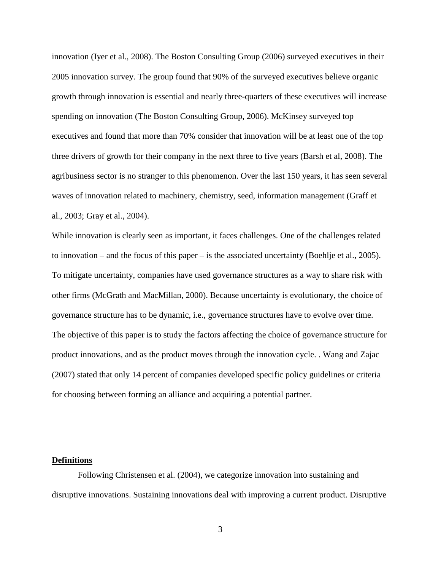innovation (Iyer et al., 2008). The Boston Consulting Group (2006) surveyed executives in their 2005 innovation survey. The group found that 90% of the surveyed executives believe organic growth through innovation is essential and nearly three-quarters of these executives will increase spending on innovation (The Boston Consulting Group, 2006). McKinsey surveyed top executives and found that more than 70% consider that innovation will be at least one of the top three drivers of growth for their company in the next three to five years (Barsh et al, 2008). The agribusiness sector is no stranger to this phenomenon. Over the last 150 years, it has seen several waves of innovation related to machinery, chemistry, seed, information management (Graff et al., 2003; Gray et al., 2004).

While innovation is clearly seen as important, it faces challenges. One of the challenges related to innovation – and the focus of this paper – is the associated uncertainty (Boehlje et al., 2005). To mitigate uncertainty, companies have used governance structures as a way to share risk with other firms (McGrath and MacMillan, 2000). Because uncertainty is evolutionary, the choice of governance structure has to be dynamic, i.e., governance structures have to evolve over time. The objective of this paper is to study the factors affecting the choice of governance structure for product innovations, and as the product moves through the innovation cycle. . Wang and Zajac (2007) stated that only 14 percent of companies developed specific policy guidelines or criteria for choosing between forming an alliance and acquiring a potential partner.

#### **Definitions**

Following Christensen et al. (2004), we categorize innovation into sustaining and disruptive innovations. Sustaining innovations deal with improving a current product. Disruptive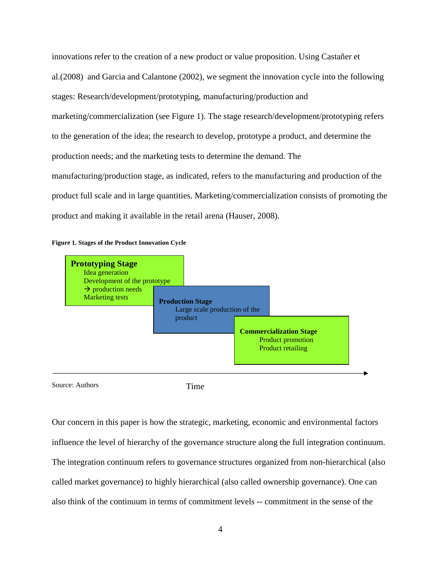innovations refer to the creation of a new product or value proposition. Using Castañer et al.(2008) and Garcia and Calantone (2002), we segment the innovation cycle into the following stages: Research/development/prototyping, manufacturing/production and marketing/commercialization (see Figure 1). The stage research/development/prototyping refers to the generation of the idea; the research to develop, prototype a product, and determine the production needs; and the marketing tests to determine the demand. The manufacturing/production stage, as indicated, refers to the manufacturing and production of the product full scale and in large quantities. Marketing/commercialization consists of promoting the product and making it available in the retail arena (Hauser, 2008).





Source: Authors

Time

Our concern in this paper is how the strategic, marketing, economic and environmental factors influence the level of hierarchy of the governance structure along the full integration continuum. The integration continuum refers to governance structures organized from non-hierarchical (also called market governance) to highly hierarchical (also called ownership governance). One can also think of the continuum in terms of commitment levels -- commitment in the sense of the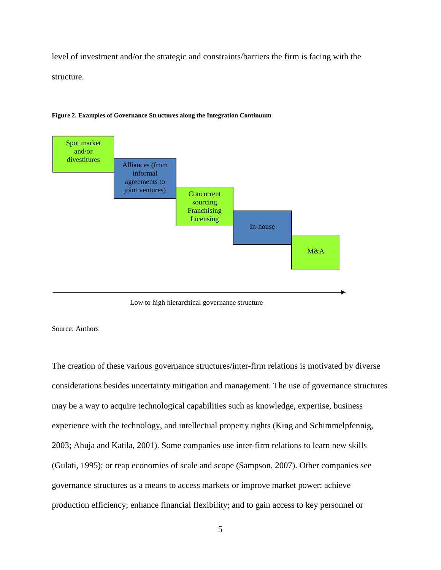level of investment and/or the strategic and constraints/barriers the firm is facing with the structure.



**Figure 2. Examples of Governance Structures along the Integration Continuum** 



#### Source: Authors

The creation of these various governance structures/inter-firm relations is motivated by diverse considerations besides uncertainty mitigation and management. The use of governance structures may be a way to acquire technological capabilities such as knowledge, expertise, business experience with the technology, and intellectual property rights (King and Schimmelpfennig, 2003; Ahuja and Katila, 2001). Some companies use inter-firm relations to learn new skills (Gulati, 1995); or reap economies of scale and scope (Sampson, 2007). Other companies see governance structures as a means to access markets or improve market power; achieve production efficiency; enhance financial flexibility; and to gain access to key personnel or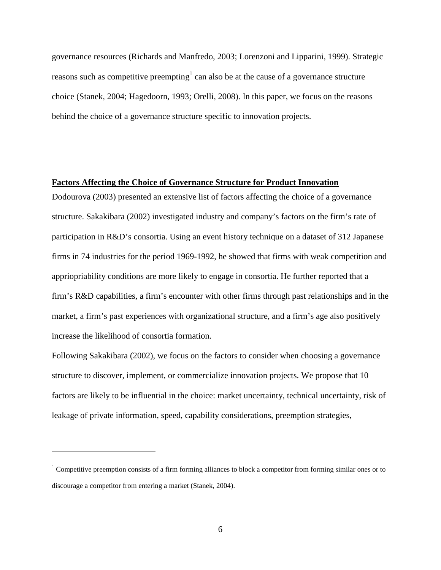governance resources (Richards and Manfredo, 2003; Lorenzoni and Lipparini, 1999). Strategic reasons such as competitive preempting<sup>1</sup> can also be at the cause of a governance structure choice (Stanek, 2004; Hagedoorn, 1993; Orelli, 2008). In this paper, we focus on the reasons behind the choice of a governance structure specific to innovation projects.

### **Factors Affecting the Choice of Governance Structure for Product Innovation**

Dodourova (2003) presented an extensive list of factors affecting the choice of a governance structure. Sakakibara (2002) investigated industry and company's factors on the firm's rate of participation in R&D's consortia. Using an event history technique on a dataset of 312 Japanese firms in 74 industries for the period 1969-1992, he showed that firms with weak competition and appriopriability conditions are more likely to engage in consortia. He further reported that a firm's R&D capabilities, a firm's encounter with other firms through past relationships and in the market, a firm's past experiences with organizational structure, and a firm's age also positively increase the likelihood of consortia formation.

Following Sakakibara (2002), we focus on the factors to consider when choosing a governance structure to discover, implement, or commercialize innovation projects. We propose that 10 factors are likely to be influential in the choice: market uncertainty, technical uncertainty, risk of leakage of private information, speed, capability considerations, preemption strategies,

 $\overline{a}$ 

 $1$  Competitive preemption consists of a firm forming alliances to block a competitor from forming similar ones or to discourage a competitor from entering a market (Stanek, 2004).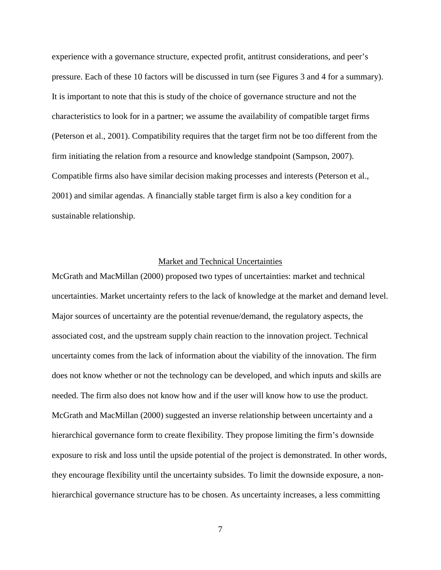experience with a governance structure, expected profit, antitrust considerations, and peer's pressure. Each of these 10 factors will be discussed in turn (see Figures 3 and 4 for a summary). It is important to note that this is study of the choice of governance structure and not the characteristics to look for in a partner; we assume the availability of compatible target firms (Peterson et al., 2001). Compatibility requires that the target firm not be too different from the firm initiating the relation from a resource and knowledge standpoint (Sampson, 2007). Compatible firms also have similar decision making processes and interests (Peterson et al., 2001) and similar agendas. A financially stable target firm is also a key condition for a sustainable relationship.

# Market and Technical Uncertainties

McGrath and MacMillan (2000) proposed two types of uncertainties: market and technical uncertainties. Market uncertainty refers to the lack of knowledge at the market and demand level. Major sources of uncertainty are the potential revenue/demand, the regulatory aspects, the associated cost, and the upstream supply chain reaction to the innovation project. Technical uncertainty comes from the lack of information about the viability of the innovation. The firm does not know whether or not the technology can be developed, and which inputs and skills are needed. The firm also does not know how and if the user will know how to use the product. McGrath and MacMillan (2000) suggested an inverse relationship between uncertainty and a hierarchical governance form to create flexibility. They propose limiting the firm's downside exposure to risk and loss until the upside potential of the project is demonstrated. In other words, they encourage flexibility until the uncertainty subsides. To limit the downside exposure, a nonhierarchical governance structure has to be chosen. As uncertainty increases, a less committing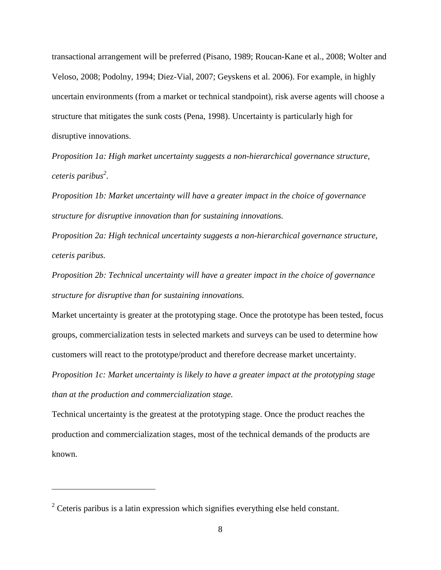transactional arrangement will be preferred (Pisano, 1989; Roucan-Kane et al., 2008; Wolter and Veloso, 2008; Podolny, 1994; Diez-Vial, 2007; Geyskens et al. 2006). For example, in highly uncertain environments (from a market or technical standpoint), risk averse agents will choose a structure that mitigates the sunk costs (Pena, 1998). Uncertainty is particularly high for disruptive innovations.

*Proposition 1a: High market uncertainty suggests a non-hierarchical governance structure, ceteris paribus<sup>2</sup> .* 

*Proposition 1b: Market uncertainty will have a greater impact in the choice of governance structure for disruptive innovation than for sustaining innovations.* 

*Proposition 2a: High technical uncertainty suggests a non-hierarchical governance structure, ceteris paribus.* 

*Proposition 2b: Technical uncertainty will have a greater impact in the choice of governance structure for disruptive than for sustaining innovations.* 

Market uncertainty is greater at the prototyping stage. Once the prototype has been tested, focus groups, commercialization tests in selected markets and surveys can be used to determine how customers will react to the prototype/product and therefore decrease market uncertainty.

*Proposition 1c: Market uncertainty is likely to have a greater impact at the prototyping stage than at the production and commercialization stage.* 

Technical uncertainty is the greatest at the prototyping stage. Once the product reaches the production and commercialization stages, most of the technical demands of the products are known.

<u>.</u>

 $2^2$  Ceteris paribus is a latin expression which signifies everything else held constant.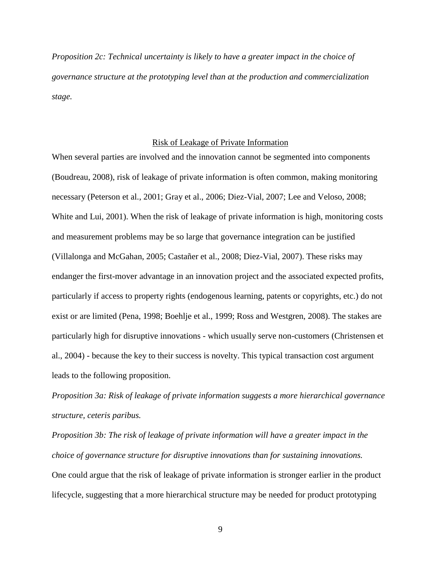*Proposition 2c: Technical uncertainty is likely to have a greater impact in the choice of governance structure at the prototyping level than at the production and commercialization stage.* 

## Risk of Leakage of Private Information

When several parties are involved and the innovation cannot be segmented into components (Boudreau, 2008), risk of leakage of private information is often common, making monitoring necessary (Peterson et al., 2001; Gray et al., 2006; Diez-Vial, 2007; Lee and Veloso, 2008; White and Lui, 2001). When the risk of leakage of private information is high, monitoring costs and measurement problems may be so large that governance integration can be justified (Villalonga and McGahan, 2005; Castañer et al., 2008; Diez-Vial, 2007). These risks may endanger the first-mover advantage in an innovation project and the associated expected profits, particularly if access to property rights (endogenous learning, patents or copyrights, etc.) do not exist or are limited (Pena, 1998; Boehlje et al., 1999; Ross and Westgren, 2008). The stakes are particularly high for disruptive innovations - which usually serve non-customers (Christensen et al., 2004) - because the key to their success is novelty. This typical transaction cost argument leads to the following proposition.

*Proposition 3a: Risk of leakage of private information suggests a more hierarchical governance structure, ceteris paribus.* 

*Proposition 3b: The risk of leakage of private information will have a greater impact in the choice of governance structure for disruptive innovations than for sustaining innovations.*  One could argue that the risk of leakage of private information is stronger earlier in the product lifecycle, suggesting that a more hierarchical structure may be needed for product prototyping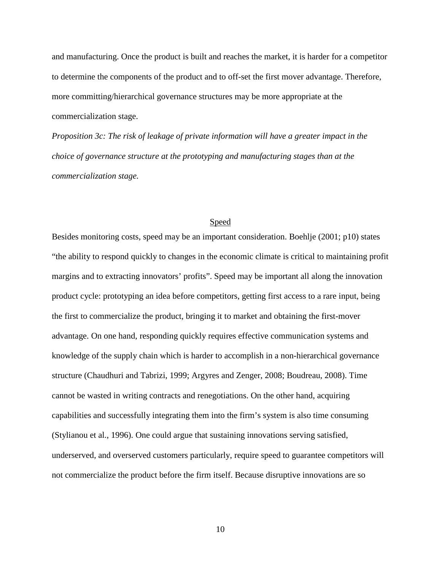and manufacturing. Once the product is built and reaches the market, it is harder for a competitor to determine the components of the product and to off-set the first mover advantage. Therefore, more committing/hierarchical governance structures may be more appropriate at the commercialization stage.

*Proposition 3c: The risk of leakage of private information will have a greater impact in the choice of governance structure at the prototyping and manufacturing stages than at the commercialization stage.* 

### Speed

Besides monitoring costs, speed may be an important consideration. Boehlje (2001; p10) states "the ability to respond quickly to changes in the economic climate is critical to maintaining profit margins and to extracting innovators' profits". Speed may be important all along the innovation product cycle: prototyping an idea before competitors, getting first access to a rare input, being the first to commercialize the product, bringing it to market and obtaining the first-mover advantage. On one hand, responding quickly requires effective communication systems and knowledge of the supply chain which is harder to accomplish in a non-hierarchical governance structure (Chaudhuri and Tabrizi, 1999; Argyres and Zenger, 2008; Boudreau, 2008). Time cannot be wasted in writing contracts and renegotiations. On the other hand, acquiring capabilities and successfully integrating them into the firm's system is also time consuming (Stylianou et al., 1996). One could argue that sustaining innovations serving satisfied, underserved, and overserved customers particularly, require speed to guarantee competitors will not commercialize the product before the firm itself. Because disruptive innovations are so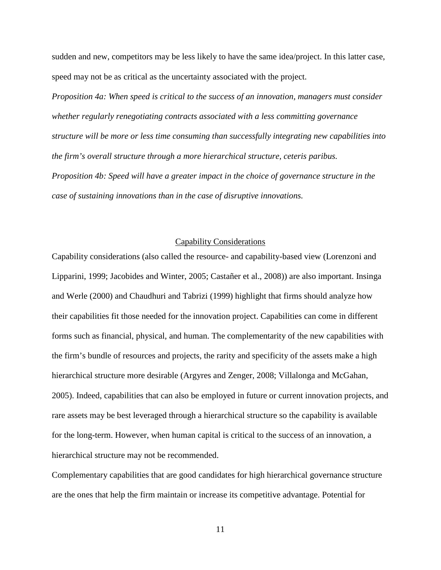sudden and new, competitors may be less likely to have the same idea/project. In this latter case, speed may not be as critical as the uncertainty associated with the project.

*Proposition 4a: When speed is critical to the success of an innovation, managers must consider whether regularly renegotiating contracts associated with a less committing governance structure will be more or less time consuming than successfully integrating new capabilities into the firm's overall structure through a more hierarchical structure, ceteris paribus. Proposition 4b: Speed will have a greater impact in the choice of governance structure in the case of sustaining innovations than in the case of disruptive innovations.* 

### Capability Considerations

Capability considerations (also called the resource- and capability-based view (Lorenzoni and Lipparini, 1999; Jacobides and Winter, 2005; Castañer et al., 2008)) are also important. Insinga and Werle (2000) and Chaudhuri and Tabrizi (1999) highlight that firms should analyze how their capabilities fit those needed for the innovation project. Capabilities can come in different forms such as financial, physical, and human. The complementarity of the new capabilities with the firm's bundle of resources and projects, the rarity and specificity of the assets make a high hierarchical structure more desirable (Argyres and Zenger, 2008; Villalonga and McGahan, 2005). Indeed, capabilities that can also be employed in future or current innovation projects, and rare assets may be best leveraged through a hierarchical structure so the capability is available for the long-term. However, when human capital is critical to the success of an innovation, a hierarchical structure may not be recommended.

Complementary capabilities that are good candidates for high hierarchical governance structure are the ones that help the firm maintain or increase its competitive advantage. Potential for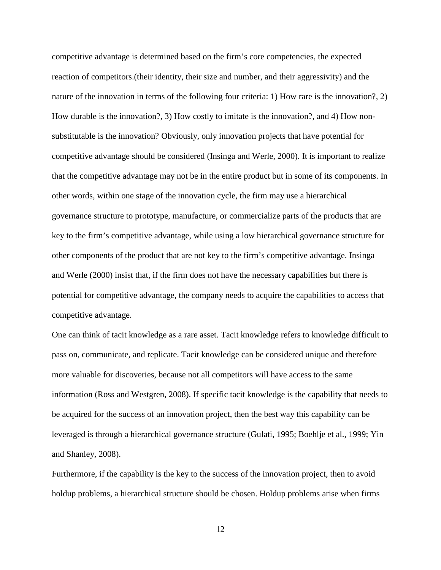competitive advantage is determined based on the firm's core competencies, the expected reaction of competitors.(their identity, their size and number, and their aggressivity) and the nature of the innovation in terms of the following four criteria: 1) How rare is the innovation?, 2) How durable is the innovation?, 3) How costly to imitate is the innovation?, and 4) How nonsubstitutable is the innovation? Obviously, only innovation projects that have potential for competitive advantage should be considered (Insinga and Werle, 2000). It is important to realize that the competitive advantage may not be in the entire product but in some of its components. In other words, within one stage of the innovation cycle, the firm may use a hierarchical governance structure to prototype, manufacture, or commercialize parts of the products that are key to the firm's competitive advantage, while using a low hierarchical governance structure for other components of the product that are not key to the firm's competitive advantage. Insinga and Werle (2000) insist that, if the firm does not have the necessary capabilities but there is potential for competitive advantage, the company needs to acquire the capabilities to access that competitive advantage.

One can think of tacit knowledge as a rare asset. Tacit knowledge refers to knowledge difficult to pass on, communicate, and replicate. Tacit knowledge can be considered unique and therefore more valuable for discoveries, because not all competitors will have access to the same information (Ross and Westgren, 2008). If specific tacit knowledge is the capability that needs to be acquired for the success of an innovation project, then the best way this capability can be leveraged is through a hierarchical governance structure (Gulati, 1995; Boehlje et al., 1999; Yin and Shanley, 2008).

Furthermore, if the capability is the key to the success of the innovation project, then to avoid holdup problems, a hierarchical structure should be chosen. Holdup problems arise when firms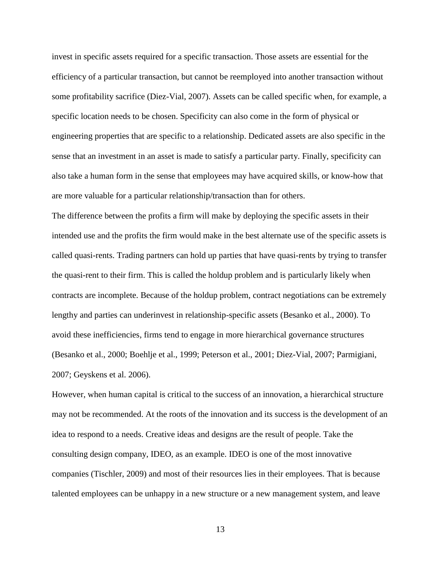invest in specific assets required for a specific transaction. Those assets are essential for the efficiency of a particular transaction, but cannot be reemployed into another transaction without some profitability sacrifice (Diez-Vial, 2007). Assets can be called specific when, for example, a specific location needs to be chosen. Specificity can also come in the form of physical or engineering properties that are specific to a relationship. Dedicated assets are also specific in the sense that an investment in an asset is made to satisfy a particular party. Finally, specificity can also take a human form in the sense that employees may have acquired skills, or know-how that are more valuable for a particular relationship/transaction than for others.

The difference between the profits a firm will make by deploying the specific assets in their intended use and the profits the firm would make in the best alternate use of the specific assets is called quasi-rents. Trading partners can hold up parties that have quasi-rents by trying to transfer the quasi-rent to their firm. This is called the holdup problem and is particularly likely when contracts are incomplete. Because of the holdup problem, contract negotiations can be extremely lengthy and parties can underinvest in relationship-specific assets (Besanko et al., 2000). To avoid these inefficiencies, firms tend to engage in more hierarchical governance structures (Besanko et al., 2000; Boehlje et al., 1999; Peterson et al., 2001; Diez-Vial, 2007; Parmigiani, 2007; Geyskens et al. 2006).

However, when human capital is critical to the success of an innovation, a hierarchical structure may not be recommended. At the roots of the innovation and its success is the development of an idea to respond to a needs. Creative ideas and designs are the result of people. Take the consulting design company, IDEO, as an example. IDEO is one of the most innovative companies (Tischler, 2009) and most of their resources lies in their employees. That is because talented employees can be unhappy in a new structure or a new management system, and leave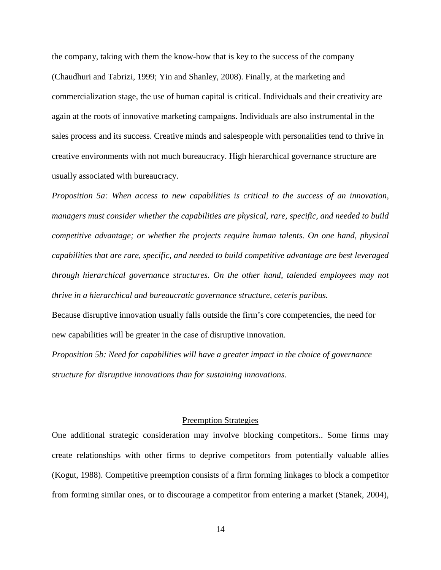the company, taking with them the know-how that is key to the success of the company (Chaudhuri and Tabrizi, 1999; Yin and Shanley, 2008). Finally, at the marketing and commercialization stage, the use of human capital is critical. Individuals and their creativity are again at the roots of innovative marketing campaigns. Individuals are also instrumental in the sales process and its success. Creative minds and salespeople with personalities tend to thrive in creative environments with not much bureaucracy. High hierarchical governance structure are usually associated with bureaucracy.

*Proposition 5a: When access to new capabilities is critical to the success of an innovation, managers must consider whether the capabilities are physical, rare, specific, and needed to build competitive advantage; or whether the projects require human talents. On one hand, physical capabilities that are rare, specific, and needed to build competitive advantage are best leveraged through hierarchical governance structures. On the other hand, talended employees may not thrive in a hierarchical and bureaucratic governance structure, ceteris paribus.* 

Because disruptive innovation usually falls outside the firm's core competencies, the need for new capabilities will be greater in the case of disruptive innovation.

*Proposition 5b: Need for capabilities will have a greater impact in the choice of governance structure for disruptive innovations than for sustaining innovations.* 

### Preemption Strategies

One additional strategic consideration may involve blocking competitors.. Some firms may create relationships with other firms to deprive competitors from potentially valuable allies (Kogut, 1988). Competitive preemption consists of a firm forming linkages to block a competitor from forming similar ones, or to discourage a competitor from entering a market (Stanek, 2004),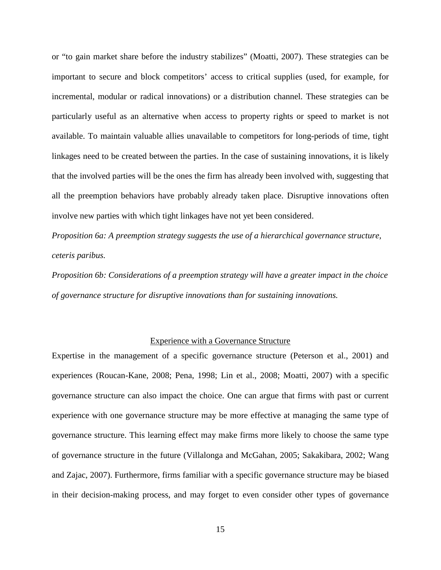or "to gain market share before the industry stabilizes" (Moatti, 2007). These strategies can be important to secure and block competitors' access to critical supplies (used, for example, for incremental, modular or radical innovations) or a distribution channel. These strategies can be particularly useful as an alternative when access to property rights or speed to market is not available. To maintain valuable allies unavailable to competitors for long-periods of time, tight linkages need to be created between the parties. In the case of sustaining innovations, it is likely that the involved parties will be the ones the firm has already been involved with, suggesting that all the preemption behaviors have probably already taken place. Disruptive innovations often involve new parties with which tight linkages have not yet been considered.

*Proposition 6a: A preemption strategy suggests the use of a hierarchical governance structure, ceteris paribus.* 

*Proposition 6b: Considerations of a preemption strategy will have a greater impact in the choice of governance structure for disruptive innovations than for sustaining innovations.* 

### Experience with a Governance Structure

Expertise in the management of a specific governance structure (Peterson et al., 2001) and experiences (Roucan-Kane, 2008; Pena, 1998; Lin et al., 2008; Moatti, 2007) with a specific governance structure can also impact the choice. One can argue that firms with past or current experience with one governance structure may be more effective at managing the same type of governance structure. This learning effect may make firms more likely to choose the same type of governance structure in the future (Villalonga and McGahan, 2005; Sakakibara, 2002; Wang and Zajac, 2007). Furthermore, firms familiar with a specific governance structure may be biased in their decision-making process, and may forget to even consider other types of governance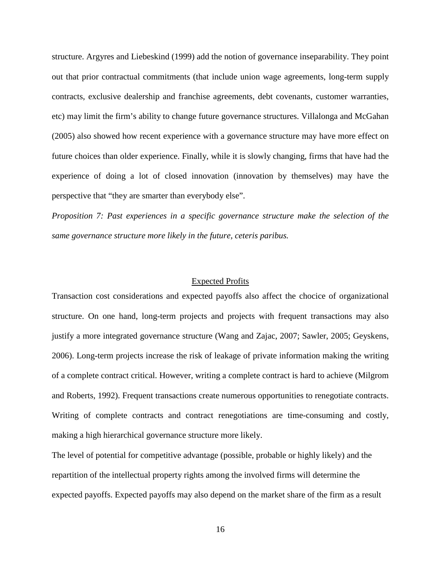structure. Argyres and Liebeskind (1999) add the notion of governance inseparability. They point out that prior contractual commitments (that include union wage agreements, long-term supply contracts, exclusive dealership and franchise agreements, debt covenants, customer warranties, etc) may limit the firm's ability to change future governance structures. Villalonga and McGahan (2005) also showed how recent experience with a governance structure may have more effect on future choices than older experience. Finally, while it is slowly changing, firms that have had the experience of doing a lot of closed innovation (innovation by themselves) may have the perspective that "they are smarter than everybody else".

*Proposition 7: Past experiences in a specific governance structure make the selection of the same governance structure more likely in the future, ceteris paribus.* 

#### Expected Profits

Transaction cost considerations and expected payoffs also affect the chocice of organizational structure. On one hand, long-term projects and projects with frequent transactions may also justify a more integrated governance structure (Wang and Zajac, 2007; Sawler, 2005; Geyskens, 2006). Long-term projects increase the risk of leakage of private information making the writing of a complete contract critical. However, writing a complete contract is hard to achieve (Milgrom and Roberts, 1992). Frequent transactions create numerous opportunities to renegotiate contracts. Writing of complete contracts and contract renegotiations are time-consuming and costly, making a high hierarchical governance structure more likely.

The level of potential for competitive advantage (possible, probable or highly likely) and the repartition of the intellectual property rights among the involved firms will determine the expected payoffs. Expected payoffs may also depend on the market share of the firm as a result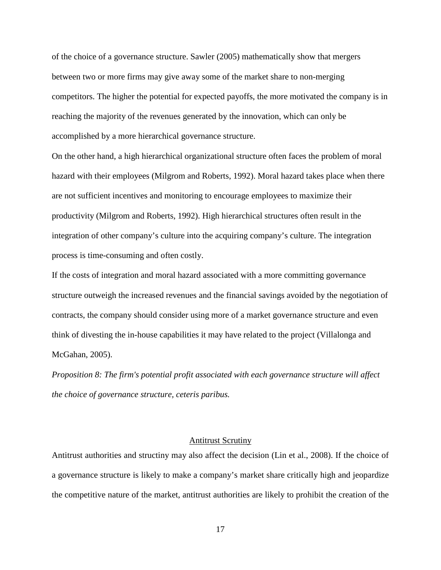of the choice of a governance structure. Sawler (2005) mathematically show that mergers between two or more firms may give away some of the market share to non-merging competitors. The higher the potential for expected payoffs, the more motivated the company is in reaching the majority of the revenues generated by the innovation, which can only be accomplished by a more hierarchical governance structure.

On the other hand, a high hierarchical organizational structure often faces the problem of moral hazard with their employees (Milgrom and Roberts, 1992). Moral hazard takes place when there are not sufficient incentives and monitoring to encourage employees to maximize their productivity (Milgrom and Roberts, 1992). High hierarchical structures often result in the integration of other company's culture into the acquiring company's culture. The integration process is time-consuming and often costly.

If the costs of integration and moral hazard associated with a more committing governance structure outweigh the increased revenues and the financial savings avoided by the negotiation of contracts, the company should consider using more of a market governance structure and even think of divesting the in-house capabilities it may have related to the project (Villalonga and McGahan, 2005).

*Proposition 8: The firm's potential profit associated with each governance structure will affect the choice of governance structure, ceteris paribus.* 

### Antitrust Scrutiny

Antitrust authorities and structiny may also affect the decision (Lin et al., 2008). If the choice of a governance structure is likely to make a company's market share critically high and jeopardize the competitive nature of the market, antitrust authorities are likely to prohibit the creation of the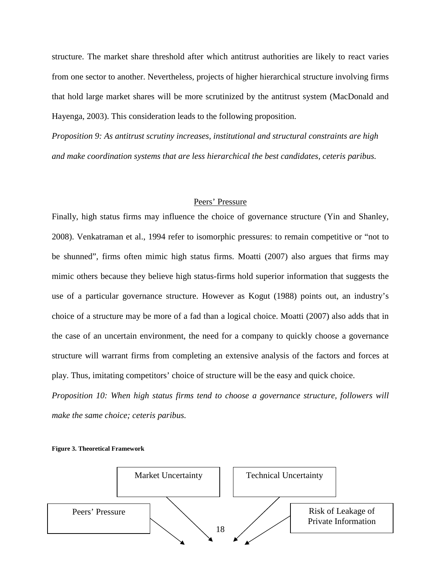structure. The market share threshold after which antitrust authorities are likely to react varies from one sector to another. Nevertheless, projects of higher hierarchical structure involving firms that hold large market shares will be more scrutinized by the antitrust system (MacDonald and Hayenga, 2003). This consideration leads to the following proposition.

*Proposition 9: As antitrust scrutiny increases, institutional and structural constraints are high and make coordination systems that are less hierarchical the best candidates, ceteris paribus.* 

## Peers' Pressure

Finally, high status firms may influence the choice of governance structure (Yin and Shanley, 2008). Venkatraman et al., 1994 refer to isomorphic pressures: to remain competitive or "not to be shunned", firms often mimic high status firms. Moatti (2007) also argues that firms may mimic others because they believe high status-firms hold superior information that suggests the use of a particular governance structure. However as Kogut (1988) points out, an industry's choice of a structure may be more of a fad than a logical choice. Moatti (2007) also adds that in the case of an uncertain environment, the need for a company to quickly choose a governance structure will warrant firms from completing an extensive analysis of the factors and forces at play. Thus, imitating competitors' choice of structure will be the easy and quick choice.

*Proposition 10: When high status firms tend to choose a governance structure, followers will make the same choice; ceteris paribus.* 



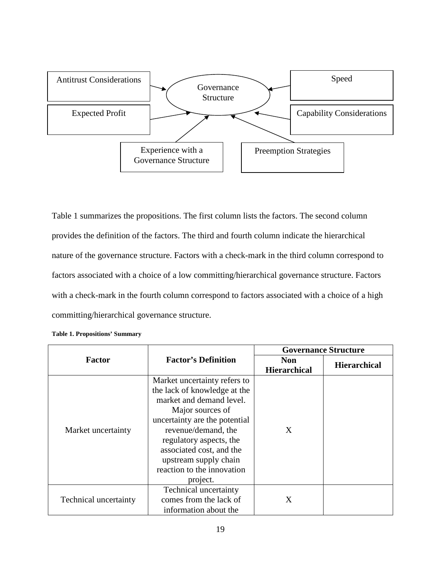

Table 1 summarizes the propositions. The first column lists the factors. The second column provides the definition of the factors. The third and fourth column indicate the hierarchical nature of the governance structure. Factors with a check-mark in the third column correspond to factors associated with a choice of a low committing/hierarchical governance structure. Factors with a check-mark in the fourth column correspond to factors associated with a choice of a high committing/hierarchical governance structure.

|                              |                                                                                                                                                                                                                                                                                                | <b>Governance Structure</b>       |                     |
|------------------------------|------------------------------------------------------------------------------------------------------------------------------------------------------------------------------------------------------------------------------------------------------------------------------------------------|-----------------------------------|---------------------|
| Factor                       | <b>Factor's Definition</b>                                                                                                                                                                                                                                                                     | <b>Non</b><br><b>Hierarchical</b> | <b>Hierarchical</b> |
| Market uncertainty           | Market uncertainty refers to<br>the lack of knowledge at the<br>market and demand level.<br>Major sources of<br>uncertainty are the potential<br>revenue/demand, the<br>regulatory aspects, the<br>associated cost, and the<br>upstream supply chain<br>reaction to the innovation<br>project. | X                                 |                     |
| <b>Technical uncertainty</b> | <b>Technical uncertainty</b><br>comes from the lack of<br>information about the                                                                                                                                                                                                                | X                                 |                     |

|  |  | <b>Table 1. Propositions' Summary</b> |  |
|--|--|---------------------------------------|--|
|--|--|---------------------------------------|--|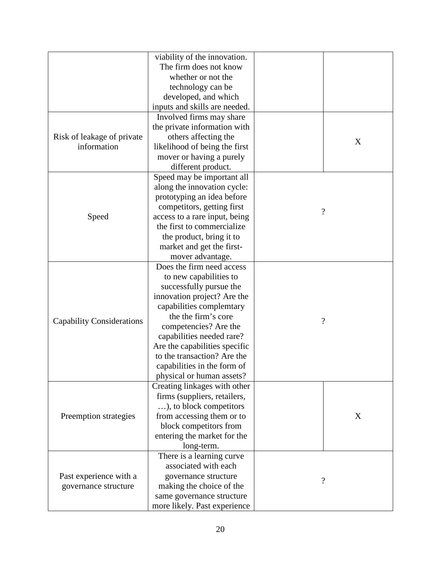|                                  | viability of the innovation.                              |                          |
|----------------------------------|-----------------------------------------------------------|--------------------------|
|                                  | The firm does not know                                    |                          |
|                                  | whether or not the                                        |                          |
|                                  | technology can be                                         |                          |
|                                  | developed, and which                                      |                          |
|                                  | inputs and skills are needed.                             |                          |
|                                  | Involved firms may share                                  |                          |
|                                  | the private information with                              |                          |
| Risk of leakage of private       | others affecting the                                      |                          |
| information                      |                                                           | X                        |
|                                  | likelihood of being the first<br>mover or having a purely |                          |
|                                  |                                                           |                          |
|                                  | different product.                                        |                          |
|                                  | Speed may be important all                                |                          |
|                                  | along the innovation cycle:                               |                          |
|                                  | prototyping an idea before                                |                          |
|                                  | competitors, getting first                                | $\gamma$                 |
| Speed                            | access to a rare input, being                             |                          |
|                                  | the first to commercialize                                |                          |
|                                  | the product, bring it to                                  |                          |
|                                  | market and get the first-                                 |                          |
|                                  | mover advantage.                                          |                          |
|                                  | Does the firm need access                                 |                          |
|                                  | to new capabilities to                                    |                          |
|                                  | successfully pursue the                                   |                          |
|                                  | innovation project? Are the                               |                          |
|                                  | capabilities complemtary                                  |                          |
| <b>Capability Considerations</b> | the the firm's core                                       | $\overline{\mathcal{L}}$ |
|                                  | competencies? Are the                                     |                          |
|                                  | capabilities needed rare?                                 |                          |
|                                  | Are the capabilities specific                             |                          |
|                                  | to the transaction? Are the                               |                          |
|                                  | capabilities in the form of                               |                          |
|                                  | physical or human assets?                                 |                          |
| Preemption strategies            | Creating linkages with other                              |                          |
|                                  | firms (suppliers, retailers,                              |                          |
|                                  | ), to block competitors                                   |                          |
|                                  | from accessing them or to                                 | X                        |
|                                  | block competitors from                                    |                          |
|                                  | entering the market for the                               |                          |
|                                  | long-term.                                                |                          |
|                                  | There is a learning curve                                 |                          |
|                                  | associated with each                                      |                          |
| Past experience with a           | governance structure                                      |                          |
| governance structure             | making the choice of the                                  | $\overline{\mathcal{L}}$ |
|                                  | same governance structure                                 |                          |
|                                  | more likely. Past experience                              |                          |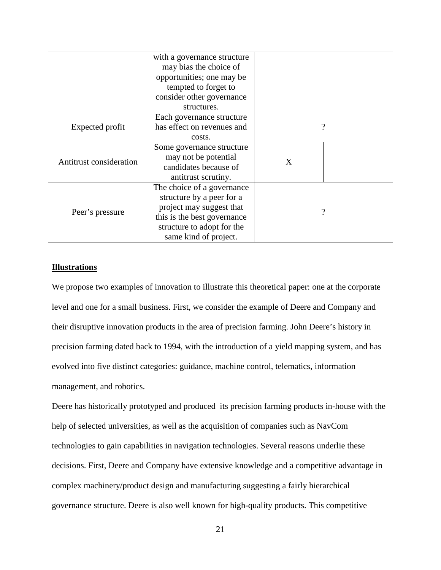|                         | with a governance structure |   |                    |
|-------------------------|-----------------------------|---|--------------------|
|                         | may bias the choice of      |   |                    |
|                         | opportunities; one may be   |   |                    |
|                         | tempted to forget to        |   |                    |
|                         | consider other governance   |   |                    |
|                         | structures.                 |   |                    |
|                         | Each governance structure   |   |                    |
| Expected profit         | has effect on revenues and  |   | $\overline{\cdot}$ |
|                         | costs.                      |   |                    |
|                         | Some governance structure   |   |                    |
| Antitrust consideration | may not be potential        | X |                    |
|                         | candidates because of       |   |                    |
|                         | antitrust scrutiny.         |   |                    |
| Peer's pressure         | The choice of a governance  |   |                    |
|                         | structure by a peer for a   |   |                    |
|                         | project may suggest that    | 9 |                    |
|                         | this is the best governance |   |                    |
|                         | structure to adopt for the  |   |                    |
|                         | same kind of project.       |   |                    |

## **Illustrations**

We propose two examples of innovation to illustrate this theoretical paper: one at the corporate level and one for a small business. First, we consider the example of Deere and Company and their disruptive innovation products in the area of precision farming. John Deere's history in precision farming dated back to 1994, with the introduction of a yield mapping system, and has evolved into five distinct categories: guidance, machine control, telematics, information management, and robotics.

Deere has historically prototyped and produced its precision farming products in-house with the help of selected universities, as well as the acquisition of companies such as NavCom technologies to gain capabilities in navigation technologies. Several reasons underlie these decisions. First, Deere and Company have extensive knowledge and a competitive advantage in complex machinery/product design and manufacturing suggesting a fairly hierarchical governance structure. Deere is also well known for high-quality products. This competitive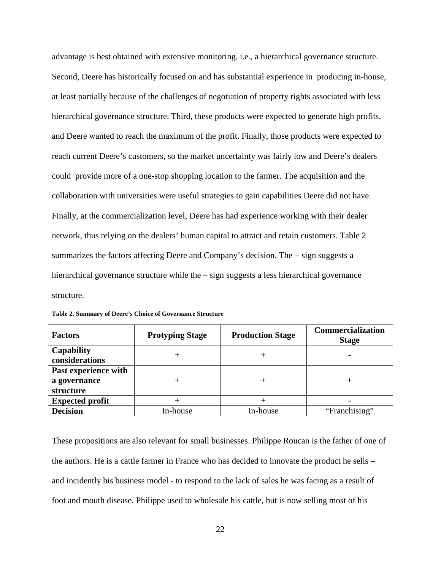advantage is best obtained with extensive monitoring, i.e., a hierarchical governance structure. Second, Deere has historically focused on and has substantial experience in producing in-house, at least partially because of the challenges of negotiation of property rights associated with less hierarchical governance structure. Third, these products were expected to generate high profits, and Deere wanted to reach the maximum of the profit. Finally, those products were expected to reach current Deere's customers, so the market uncertainty was fairly low and Deere's dealers could provide more of a one-stop shopping location to the farmer. The acquisition and the collaboration with universities were useful strategies to gain capabilities Deere did not have. Finally, at the commercialization level, Deere has had experience working with their dealer network, thus relying on the dealers' human capital to attract and retain customers. Table 2 summarizes the factors affecting Deere and Company's decision. The + sign suggests a hierarchical governance structure while the – sign suggests a less hierarchical governance structure.

| <b>Factors</b>                                    | <b>Protyping Stage</b> | <b>Production Stage</b> | <b>Commercialization</b><br><b>Stage</b> |
|---------------------------------------------------|------------------------|-------------------------|------------------------------------------|
| <b>Capability</b><br>considerations               |                        |                         |                                          |
| Past experience with<br>a governance<br>structure |                        | $^+$                    |                                          |
| <b>Expected profit</b>                            |                        |                         |                                          |
| <b>Decision</b>                                   | In-house               | In-house                | "Franchising"                            |

**Table 2. Summary of Deere's Choice of Governance Structure** 

These propositions are also relevant for small businesses. Philippe Roucan is the father of one of the authors. He is a cattle farmer in France who has decided to innovate the product he sells – and incidently his business model - to respond to the lack of sales he was facing as a result of foot and mouth disease. Philippe used to wholesale his cattle, but is now selling most of his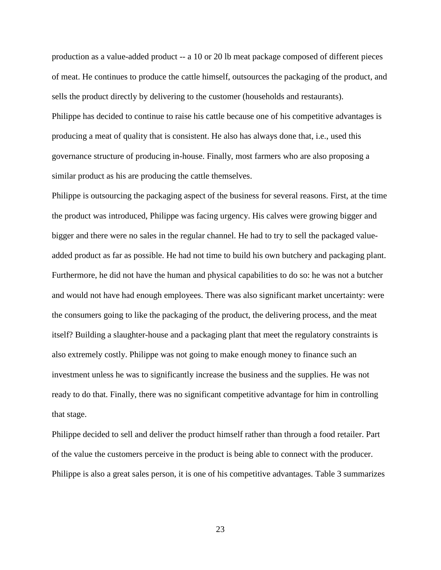production as a value-added product -- a 10 or 20 lb meat package composed of different pieces of meat. He continues to produce the cattle himself, outsources the packaging of the product, and sells the product directly by delivering to the customer (households and restaurants). Philippe has decided to continue to raise his cattle because one of his competitive advantages is producing a meat of quality that is consistent. He also has always done that, i.e., used this governance structure of producing in-house. Finally, most farmers who are also proposing a similar product as his are producing the cattle themselves.

Philippe is outsourcing the packaging aspect of the business for several reasons. First, at the time the product was introduced, Philippe was facing urgency. His calves were growing bigger and bigger and there were no sales in the regular channel. He had to try to sell the packaged valueadded product as far as possible. He had not time to build his own butchery and packaging plant. Furthermore, he did not have the human and physical capabilities to do so: he was not a butcher and would not have had enough employees. There was also significant market uncertainty: were the consumers going to like the packaging of the product, the delivering process, and the meat itself? Building a slaughter-house and a packaging plant that meet the regulatory constraints is also extremely costly. Philippe was not going to make enough money to finance such an investment unless he was to significantly increase the business and the supplies. He was not ready to do that. Finally, there was no significant competitive advantage for him in controlling that stage.

Philippe decided to sell and deliver the product himself rather than through a food retailer. Part of the value the customers perceive in the product is being able to connect with the producer. Philippe is also a great sales person, it is one of his competitive advantages. Table 3 summarizes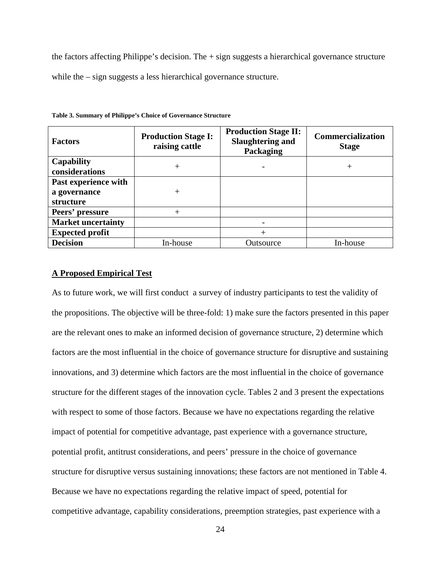the factors affecting Philippe's decision. The  $+$  sign suggests a hierarchical governance structure while the – sign suggests a less hierarchical governance structure.

| <b>Factors</b>                                    | <b>Production Stage I:</b><br>raising cattle | <b>Production Stage II:</b><br><b>Slaughtering and</b><br>Packaging | <b>Commercialization</b><br><b>Stage</b> |
|---------------------------------------------------|----------------------------------------------|---------------------------------------------------------------------|------------------------------------------|
| Capability<br>considerations                      | $^+$                                         |                                                                     | $^{+}$                                   |
| Past experience with<br>a governance<br>structure |                                              |                                                                     |                                          |
| Peers' pressure                                   |                                              |                                                                     |                                          |
| <b>Market uncertainty</b>                         |                                              |                                                                     |                                          |
| <b>Expected profit</b>                            |                                              | $^{+}$                                                              |                                          |
| <b>Decision</b>                                   | In-house                                     | Outsource                                                           | In-house                                 |

**Table 3. Summary of Philippe's Choice of Governance Structure** 

### **A Proposed Empirical Test**

As to future work, we will first conduct a survey of industry participants to test the validity of the propositions. The objective will be three-fold: 1) make sure the factors presented in this paper are the relevant ones to make an informed decision of governance structure, 2) determine which factors are the most influential in the choice of governance structure for disruptive and sustaining innovations, and 3) determine which factors are the most influential in the choice of governance structure for the different stages of the innovation cycle. Tables 2 and 3 present the expectations with respect to some of those factors. Because we have no expectations regarding the relative impact of potential for competitive advantage, past experience with a governance structure, potential profit, antitrust considerations, and peers' pressure in the choice of governance structure for disruptive versus sustaining innovations; these factors are not mentioned in Table 4. Because we have no expectations regarding the relative impact of speed, potential for competitive advantage, capability considerations, preemption strategies, past experience with a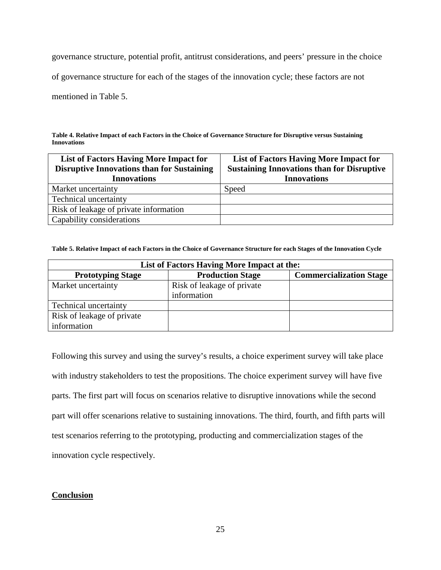governance structure, potential profit, antitrust considerations, and peers' pressure in the choice

of governance structure for each of the stages of the innovation cycle; these factors are not

mentioned in Table 5.

**Table 4. Relative Impact of each Factors in the Choice of Governance Structure for Disruptive versus Sustaining Innovations** 

| <b>List of Factors Having More Impact for</b><br><b>Disruptive Innovations than for Sustaining</b><br><b>Innovations</b> | <b>List of Factors Having More Impact for</b><br><b>Sustaining Innovations than for Disruptive</b><br><b>Innovations</b> |
|--------------------------------------------------------------------------------------------------------------------------|--------------------------------------------------------------------------------------------------------------------------|
| Market uncertainty                                                                                                       | Speed                                                                                                                    |
| Technical uncertainty                                                                                                    |                                                                                                                          |
| Risk of leakage of private information                                                                                   |                                                                                                                          |
| Capability considerations                                                                                                |                                                                                                                          |

**Table 5. Relative Impact of each Factors in the Choice of Governance Structure for each Stages of the Innovation Cycle** 

| List of Factors Having More Impact at the: |                            |                                |  |
|--------------------------------------------|----------------------------|--------------------------------|--|
| <b>Prototyping Stage</b>                   | <b>Production Stage</b>    | <b>Commercialization Stage</b> |  |
| Market uncertainty                         | Risk of leakage of private |                                |  |
|                                            | information                |                                |  |
| Technical uncertainty                      |                            |                                |  |
| Risk of leakage of private                 |                            |                                |  |
| information                                |                            |                                |  |

Following this survey and using the survey's results, a choice experiment survey will take place with industry stakeholders to test the propositions. The choice experiment survey will have five parts. The first part will focus on scenarios relative to disruptive innovations while the second part will offer scenarions relative to sustaining innovations. The third, fourth, and fifth parts will test scenarios referring to the prototyping, producting and commercialization stages of the innovation cycle respectively.

# **Conclusion**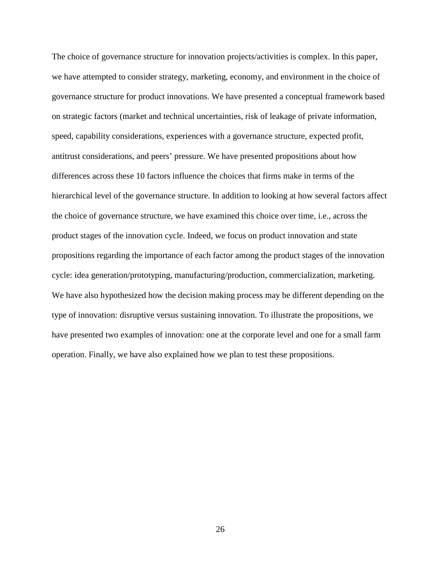The choice of governance structure for innovation projects/activities is complex. In this paper, we have attempted to consider strategy, marketing, economy, and environment in the choice of governance structure for product innovations. We have presented a conceptual framework based on strategic factors (market and technical uncertainties, risk of leakage of private information, speed, capability considerations, experiences with a governance structure, expected profit, antitrust considerations, and peers' pressure. We have presented propositions about how differences across these 10 factors influence the choices that firms make in terms of the hierarchical level of the governance structure. In addition to looking at how several factors affect the choice of governance structure, we have examined this choice over time, i.e., across the product stages of the innovation cycle. Indeed, we focus on product innovation and state propositions regarding the importance of each factor among the product stages of the innovation cycle: idea generation/prototyping, manufacturing/production, commercialization, marketing. We have also hypothesized how the decision making process may be different depending on the type of innovation: disruptive versus sustaining innovation. To illustrate the propositions, we have presented two examples of innovation: one at the corporate level and one for a small farm operation. Finally, we have also explained how we plan to test these propositions.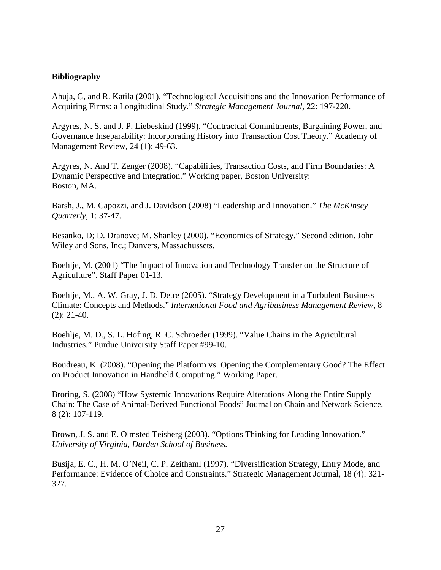# **Bibliography**

Ahuja, G, and R. Katila (2001). "Technological Acquisitions and the Innovation Performance of Acquiring Firms: a Longitudinal Study." *Strategic Management Journal,* 22: 197-220.

Argyres, N. S. and J. P. Liebeskind (1999). "Contractual Commitments, Bargaining Power, and Governance Inseparability: Incorporating History into Transaction Cost Theory." Academy of Management Review, 24 (1): 49-63.

Argyres, N. And T. Zenger (2008). "Capabilities, Transaction Costs, and Firm Boundaries: A Dynamic Perspective and Integration." Working paper, Boston University: Boston, MA.

Barsh, J., M. Capozzi, and J. Davidson (2008) "Leadership and Innovation." *The McKinsey Quarterly,* 1: 37-47.

Besanko, D; D. Dranove; M. Shanley (2000). "Economics of Strategy." Second edition. John Wiley and Sons, Inc.; Danvers, Massachussets.

Boehlje, M. (2001) "The Impact of Innovation and Technology Transfer on the Structure of Agriculture". Staff Paper 01-13.

Boehlje, M., A. W. Gray, J. D. Detre (2005). "Strategy Development in a Turbulent Business Climate: Concepts and Methods." *International Food and Agribusiness Management Review*, 8 (2): 21-40.

Boehlje, M. D., S. L. Hofing, R. C. Schroeder (1999). "Value Chains in the Agricultural Industries." Purdue University Staff Paper #99-10.

Boudreau, K. (2008). "Opening the Platform vs. Opening the Complementary Good? The Effect on Product Innovation in Handheld Computing." Working Paper.

Broring, S. (2008) "How Systemic Innovations Require Alterations Along the Entire Supply Chain: The Case of Animal-Derived Functional Foods" Journal on Chain and Network Science, 8 (2): 107-119.

Brown, J. S. and E. Olmsted Teisberg (2003). "Options Thinking for Leading Innovation." *University of Virginia, Darden School of Business.* 

Busija, E. C., H. M. O'Neil, C. P. Zeithaml (1997). "Diversification Strategy, Entry Mode, and Performance: Evidence of Choice and Constraints." Strategic Management Journal, 18 (4): 321- 327.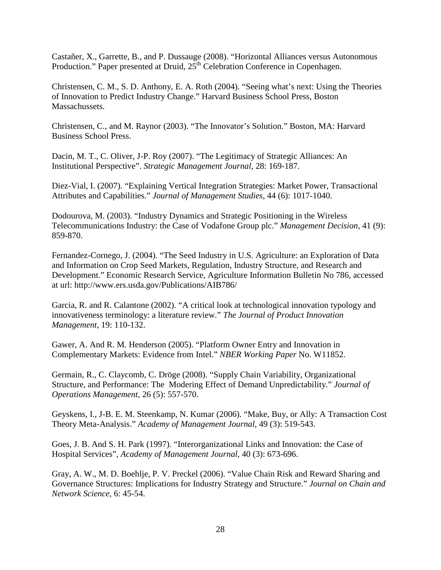Castañer, X., Garrette, B., and P. Dussauge (2008). "Horizontal Alliances versus Autonomous Production." Paper presented at Druid,  $25<sup>th</sup>$  Celebration Conference in Copenhagen.

Christensen, C. M., S. D. Anthony, E. A. Roth (2004). "Seeing what's next: Using the Theories of Innovation to Predict Industry Change." Harvard Business School Press, Boston Massachussets.

Christensen, C., and M. Raynor (2003). "The Innovator's Solution." Boston, MA: Harvard Business School Press.

Dacin, M. T., C. Oliver, J-P. Roy (2007). "The Legitimacy of Strategic Alliances: An Institutional Perspective". *Strategic Management Journal*, 28: 169-187.

Diez-Vial, I. (2007). "Explaining Vertical Integration Strategies: Market Power, Transactional Attributes and Capabilities." *Journal of Management Studies*, 44 (6): 1017-1040.

Dodourova, M. (2003). "Industry Dynamics and Strategic Positioning in the Wireless Telecommunications Industry: the Case of Vodafone Group plc." *Management Decision*, 41 (9): 859-870.

Fernandez-Cornego, J. (2004). "The Seed Industry in U.S. Agriculture: an Exploration of Data and Information on Crop Seed Markets, Regulation, Industry Structure, and Research and Development." Economic Research Service, Agriculture Information Bulletin No 786, accessed at url: http://www.ers.usda.gov/Publications/AIB786/

Garcia, R. and R. Calantone (2002). "A critical look at technological innovation typology and innovativeness terminology: a literature review." *The Journal of Product Innovation Management*, 19: 110-132.

Gawer, A. And R. M. Henderson (2005). "Platform Owner Entry and Innovation in Complementary Markets: Evidence from Intel." *NBER Working Paper* No. W11852.

Germain, R., C. Claycomb, C. Dröge (2008). "Supply Chain Variability, Organizational Structure, and Performance: The Modering Effect of Demand Unpredictability." *Journal of Operations Management*, 26 (5): 557-570.

Geyskens, I., J-B. E. M. Steenkamp, N. Kumar (2006). "Make, Buy, or Ally: A Transaction Cost Theory Meta-Analysis." *Academy of Management Journal*, 49 (3): 519-543.

Goes, J. B. And S. H. Park (1997). "Interorganizational Links and Innovation: the Case of Hospital Services", *Academy of Management Journal*, 40 (3): 673-696.

Gray, A. W., M. D. Boehlje, P. V. Preckel (2006). "Value Chain Risk and Reward Sharing and Governance Structures: Implications for Industry Strategy and Structure." *Journal on Chain and Network Science,* 6: 45-54.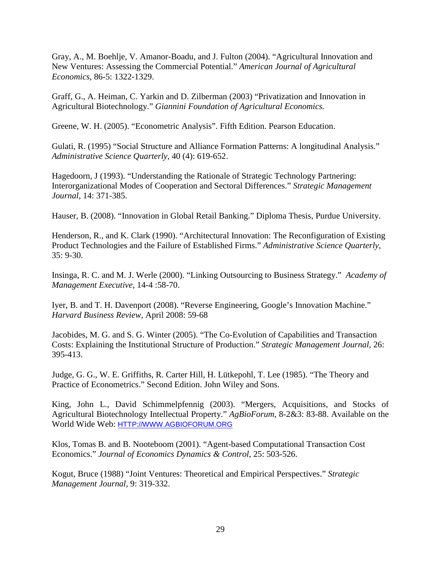Gray, A., M. Boehlje, V. Amanor-Boadu, and J. Fulton (2004). "Agricultural Innovation and New Ventures: Assessing the Commercial Potential." *American Journal of Agricultural Economics*, 86-5: 1322-1329.

Graff, G., A. Heiman, C. Yarkin and D. Zilberman (2003) "Privatization and Innovation in Agricultural Biotechnology." *Giannini Foundation of Agricultural Economics.* 

Greene, W. H. (2005). "Econometric Analysis". Fifth Edition. Pearson Education.

Gulati, R. (1995) "Social Structure and Alliance Formation Patterns: A longitudinal Analysis." *Administrative Science Quarterly,* 40 (4): 619-652.

Hagedoorn, J (1993). "Understanding the Rationale of Strategic Technology Partnering: Interorganizational Modes of Cooperation and Sectoral Differences." *Strategic Management Journal*, 14: 371-385.

Hauser, B. (2008). "Innovation in Global Retail Banking." Diploma Thesis, Purdue University.

Henderson, R., and K. Clark (1990). "Architectural Innovation: The Reconfiguration of Existing Product Technologies and the Failure of Established Firms." *Administrative Science Quarterly*, 35: 9-30.

Insinga, R. C. and M. J. Werle (2000). "Linking Outsourcing to Business Strategy." *Academy of Management Executive*, 14-4 :58-70.

Iyer, B. and T. H. Davenport (2008). "Reverse Engineering, Google's Innovation Machine." *Harvard Business Review*, April 2008: 59-68

Jacobides, M. G. and S. G. Winter (2005). "The Co-Evolution of Capabilities and Transaction Costs: Explaining the Institutional Structure of Production." *Strategic Management Journal*, 26: 395-413.

Judge, G. G., W. E. Griffiths, R. Carter Hill, H. Lütkepohl, T. Lee (1985). "The Theory and Practice of Econometrics." Second Edition. John Wiley and Sons.

King, John L., David Schimmelpfennig (2003). "Mergers, Acquisitions, and Stocks of Agricultural Biotechnology Intellectual Property." *AgBioForum*, 8-2&3: 83-88. Available on the World Wide Web: HTTP://WWW.AGBIOFORUM.ORG

Klos, Tomas B. and B. Nooteboom (2001). "Agent-based Computational Transaction Cost Economics." *Journal of Economics Dynamics & Control*, 25: 503-526.

Kogut, Bruce (1988) "Joint Ventures: Theoretical and Empirical Perspectives." *Strategic Management Journal*, 9: 319-332.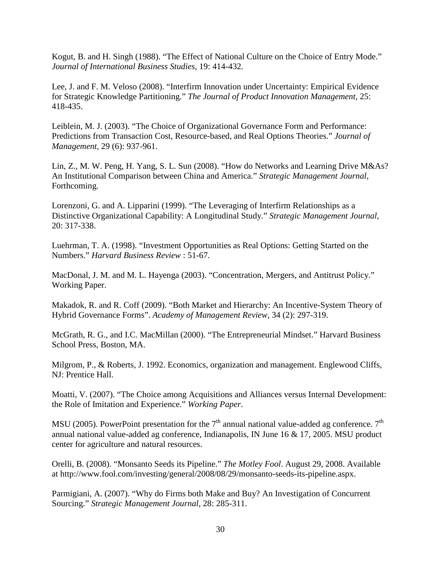Kogut, B. and H. Singh (1988). "The Effect of National Culture on the Choice of Entry Mode." *Journal of International Business Studies*, 19: 414-432*.* 

Lee, J. and F. M. Veloso (2008). "Interfirm Innovation under Uncertainty: Empirical Evidence for Strategic Knowledge Partitioning." *The Journal of Product Innovation Management*, 25: 418-435.

Leiblein, M. J. (2003). "The Choice of Organizational Governance Form and Performance: Predictions from Transaction Cost, Resource-based, and Real Options Theories." *Journal of Management*, 29 (6): 937-961.

Lin, Z., M. W. Peng, H. Yang, S. L. Sun (2008). "How do Networks and Learning Drive M&As? An Institutional Comparison between China and America." *Strategic Management Journal*, Forthcoming.

Lorenzoni, G. and A. Lipparini (1999). "The Leveraging of Interfirm Relationships as a Distinctive Organizational Capability: A Longitudinal Study." *Strategic Management Journal*, 20: 317-338.

Luehrman, T. A. (1998). "Investment Opportunities as Real Options: Getting Started on the Numbers." *Harvard Business Review* : 51-67.

MacDonal, J. M. and M. L. Hayenga (2003). "Concentration, Mergers, and Antitrust Policy." Working Paper.

Makadok, R. and R. Coff (2009). "Both Market and Hierarchy: An Incentive-System Theory of Hybrid Governance Forms". *Academy of Management Review*, 34 (2): 297-319.

McGrath, R. G., and I.C. MacMillan (2000). "The Entrepreneurial Mindset." Harvard Business School Press, Boston, MA.

Milgrom, P., & Roberts, J. 1992. Economics, organization and management. Englewood Cliffs, NJ: Prentice Hall.

Moatti, V. (2007). "The Choice among Acquisitions and Alliances versus Internal Development: the Role of Imitation and Experience." *Working Paper*.

MSU (2005). PowerPoint presentation for the  $7<sup>th</sup>$  annual national value-added ag conference.  $7<sup>th</sup>$ annual national value-added ag conference, Indianapolis, IN June 16 & 17, 2005. MSU product center for agriculture and natural resources.

Orelli, B. (2008). "Monsanto Seeds its Pipeline." *The Motley Fool*. August 29, 2008. Available at http://www.fool.com/investing/general/2008/08/29/monsanto-seeds-its-pipeline.aspx.

Parmigiani, A. (2007). "Why do Firms both Make and Buy? An Investigation of Concurrent Sourcing." *Strategic Management Journal*, 28: 285-311.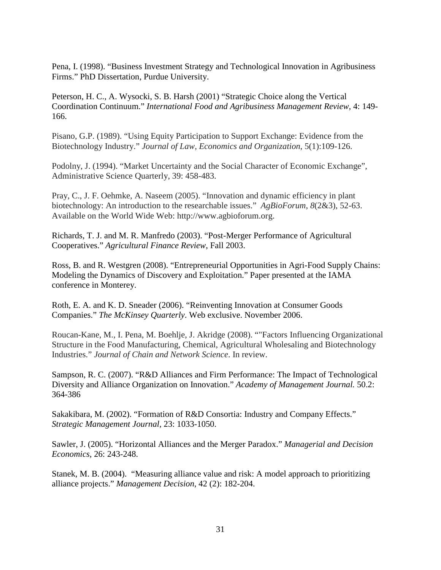Pena, I. (1998). "Business Investment Strategy and Technological Innovation in Agribusiness Firms." PhD Dissertation, Purdue University.

Peterson, H. C., A. Wysocki, S. B. Harsh (2001) "Strategic Choice along the Vertical Coordination Continuum." *International Food and Agribusiness Management Review,* 4: 149- 166.

Pisano, G.P. (1989). "Using Equity Participation to Support Exchange: Evidence from the Biotechnology Industry." *Journal of Law, Economics and Organization*, 5(1):109-126.

Podolny, J. (1994). "Market Uncertainty and the Social Character of Economic Exchange", Administrative Science Quarterly, 39: 458-483.

Pray, C., J. F. Oehmke, A. Naseem (2005). "Innovation and dynamic efficiency in plant biotechnology: An introduction to the researchable issues." *AgBioForum*, *8*(2&3), 52-63. Available on the World Wide Web: http://www.agbioforum.org.

Richards, T. J. and M. R. Manfredo (2003). "Post-Merger Performance of Agricultural Cooperatives." *Agricultural Finance Review*, Fall 2003.

Ross, B. and R. Westgren (2008). "Entrepreneurial Opportunities in Agri-Food Supply Chains: Modeling the Dynamics of Discovery and Exploitation." Paper presented at the IAMA conference in Monterey.

Roth, E. A. and K. D. Sneader (2006). "Reinventing Innovation at Consumer Goods Companies." *The McKinsey Quarterly*. Web exclusive. November 2006.

Roucan-Kane, M., I. Pena, M. Boehlje, J. Akridge (2008). ""Factors Influencing Organizational Structure in the Food Manufacturing, Chemical, Agricultural Wholesaling and Biotechnology Industries." *Journal of Chain and Network Science*. In review.

Sampson, R. C. (2007). "R&D Alliances and Firm Performance: The Impact of Technological Diversity and Alliance Organization on Innovation." *Academy of Management Journal.* 50.2: 364-386

Sakakibara, M. (2002). "Formation of R&D Consortia: Industry and Company Effects." *Strategic Management Journal*, 23: 1033-1050.

Sawler, J. (2005). "Horizontal Alliances and the Merger Paradox." *Managerial and Decision Economics*, 26: 243-248.

Stanek, M. B. (2004). "Measuring alliance value and risk: A model approach to prioritizing alliance projects." *Management Decision*, 42 (2): 182-204.